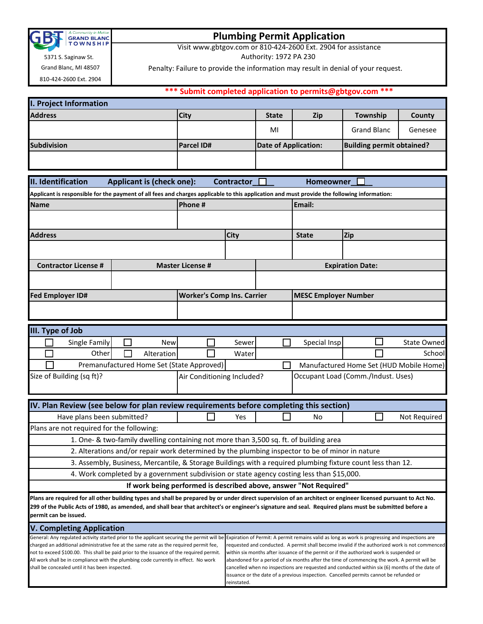

## **Plumbing Permit Application**

Visit www.gbtgov.com or 810-424-2600 Ext. 2904 for assistance

**\*\*\* Submit completed application to permits@gbtgov.com \*\*\***

Authority: 1972 PA 230

Penalty: Failure to provide the information may result in denial of your request.

Grand Blanc, MI 48507 810-424-2600 Ext. 2904

5371 S. Saginaw St.

| <b>I. Project Information</b>                                                                                                                                                              |                                   |                                                                                                                                                                                            |                                                                                                                                                                                          |                             |                                  |                    |  |  |  |
|--------------------------------------------------------------------------------------------------------------------------------------------------------------------------------------------|-----------------------------------|--------------------------------------------------------------------------------------------------------------------------------------------------------------------------------------------|------------------------------------------------------------------------------------------------------------------------------------------------------------------------------------------|-----------------------------|----------------------------------|--------------------|--|--|--|
| <b>Address</b>                                                                                                                                                                             | <b>City</b>                       |                                                                                                                                                                                            | <b>State</b>                                                                                                                                                                             | <b>Zip</b>                  | Township                         | County             |  |  |  |
|                                                                                                                                                                                            |                                   |                                                                                                                                                                                            | MI                                                                                                                                                                                       |                             | <b>Grand Blanc</b>               | Genesee            |  |  |  |
| Subdivision                                                                                                                                                                                | Parcel ID#                        |                                                                                                                                                                                            |                                                                                                                                                                                          | <b>Date of Application:</b> | <b>Building permit obtained?</b> |                    |  |  |  |
|                                                                                                                                                                                            |                                   |                                                                                                                                                                                            |                                                                                                                                                                                          |                             |                                  |                    |  |  |  |
|                                                                                                                                                                                            |                                   |                                                                                                                                                                                            |                                                                                                                                                                                          |                             |                                  |                    |  |  |  |
| II. Identification<br><b>Applicant is (check one):</b><br><b>Contractor</b><br>Homeowner                                                                                                   |                                   |                                                                                                                                                                                            |                                                                                                                                                                                          |                             |                                  |                    |  |  |  |
| Applicant is responsible for the payment of all fees and charges applicable to this application and must provide the following information:                                                |                                   |                                                                                                                                                                                            |                                                                                                                                                                                          |                             |                                  |                    |  |  |  |
| Phone#<br><b>Name</b>                                                                                                                                                                      |                                   |                                                                                                                                                                                            |                                                                                                                                                                                          | Email:                      |                                  |                    |  |  |  |
|                                                                                                                                                                                            |                                   |                                                                                                                                                                                            |                                                                                                                                                                                          |                             |                                  |                    |  |  |  |
| <b>Address</b>                                                                                                                                                                             |                                   | <b>City</b>                                                                                                                                                                                |                                                                                                                                                                                          | <b>State</b>                | <b>Zip</b>                       |                    |  |  |  |
|                                                                                                                                                                                            |                                   |                                                                                                                                                                                            |                                                                                                                                                                                          |                             |                                  |                    |  |  |  |
| <b>Contractor License #</b>                                                                                                                                                                | <b>Master License #</b>           |                                                                                                                                                                                            |                                                                                                                                                                                          |                             | <b>Expiration Date:</b>          |                    |  |  |  |
|                                                                                                                                                                                            |                                   |                                                                                                                                                                                            |                                                                                                                                                                                          |                             |                                  |                    |  |  |  |
| <b>Fed Employer ID#</b>                                                                                                                                                                    | <b>Worker's Comp Ins. Carrier</b> |                                                                                                                                                                                            |                                                                                                                                                                                          | <b>MESC Employer Number</b> |                                  |                    |  |  |  |
|                                                                                                                                                                                            |                                   |                                                                                                                                                                                            |                                                                                                                                                                                          |                             |                                  |                    |  |  |  |
|                                                                                                                                                                                            |                                   |                                                                                                                                                                                            |                                                                                                                                                                                          |                             |                                  |                    |  |  |  |
| III. Type of Job                                                                                                                                                                           |                                   |                                                                                                                                                                                            |                                                                                                                                                                                          |                             |                                  |                    |  |  |  |
| Single Family<br><b>New</b>                                                                                                                                                                |                                   | Sewer                                                                                                                                                                                      |                                                                                                                                                                                          | Special Insp                |                                  | <b>State Owned</b> |  |  |  |
| Other<br>Alteration                                                                                                                                                                        |                                   | Water                                                                                                                                                                                      |                                                                                                                                                                                          |                             |                                  | School             |  |  |  |
| Premanufactured Home Set (State Approved)<br>Manufactured Home Set (HUD Mobile Home)                                                                                                       |                                   |                                                                                                                                                                                            |                                                                                                                                                                                          |                             |                                  |                    |  |  |  |
| Size of Building (sq ft)?                                                                                                                                                                  |                                   | Occupant Load (Comm./Indust. Uses)<br>Air Conditioning Included?                                                                                                                           |                                                                                                                                                                                          |                             |                                  |                    |  |  |  |
|                                                                                                                                                                                            |                                   |                                                                                                                                                                                            |                                                                                                                                                                                          |                             |                                  |                    |  |  |  |
| IV. Plan Review (see below for plan review requirements before completing this section)                                                                                                    |                                   |                                                                                                                                                                                            |                                                                                                                                                                                          |                             |                                  |                    |  |  |  |
| Have plans been submitted?                                                                                                                                                                 |                                   | Yes                                                                                                                                                                                        |                                                                                                                                                                                          | No                          |                                  | Not Required       |  |  |  |
| Plans are not required for the following:                                                                                                                                                  |                                   |                                                                                                                                                                                            |                                                                                                                                                                                          |                             |                                  |                    |  |  |  |
| 1. One- & two-family dwelling containing not more than 3,500 sq. ft. of building area                                                                                                      |                                   |                                                                                                                                                                                            |                                                                                                                                                                                          |                             |                                  |                    |  |  |  |
| 2. Alterations and/or repair work determined by the plumbing inspector to be of minor in nature                                                                                            |                                   |                                                                                                                                                                                            |                                                                                                                                                                                          |                             |                                  |                    |  |  |  |
| 3. Assembly, Business, Mercantile, & Storage Buildings with a required plumbing fixture count less than 12.                                                                                |                                   |                                                                                                                                                                                            |                                                                                                                                                                                          |                             |                                  |                    |  |  |  |
| 4. Work completed by a government subdivision or state agency costing less than \$15,000.                                                                                                  |                                   |                                                                                                                                                                                            |                                                                                                                                                                                          |                             |                                  |                    |  |  |  |
| If work being performed is described above, answer "Not Required"                                                                                                                          |                                   |                                                                                                                                                                                            |                                                                                                                                                                                          |                             |                                  |                    |  |  |  |
| Plans are required for all other building types and shall be prepared by or under direct supervision of an architect or engineer licensed pursuant to Act No.                              |                                   |                                                                                                                                                                                            |                                                                                                                                                                                          |                             |                                  |                    |  |  |  |
| 299 of the Public Acts of 1980, as amended, and shall bear that architect's or engineer's signature and seal. Required plans must be submitted before a<br>permit can be issued.           |                                   |                                                                                                                                                                                            |                                                                                                                                                                                          |                             |                                  |                    |  |  |  |
| <b>V. Completing Application</b>                                                                                                                                                           |                                   |                                                                                                                                                                                            |                                                                                                                                                                                          |                             |                                  |                    |  |  |  |
| General: Any regulated activity started prior to the applicant securing the permit will be Expiration of Permit: A permit remains valid as long as work is progressing and inspections are |                                   |                                                                                                                                                                                            |                                                                                                                                                                                          |                             |                                  |                    |  |  |  |
| charged an additional administrative fee at the same rate as the required permit fee,<br>not to exceed \$100.00. This shall be paid prior to the issuance of the required permit.          |                                   | requested and conducted. A permit shall become invalid if the authorized work is not commenced<br>within six months after issuance of the permit or if the authorized work is suspended or |                                                                                                                                                                                          |                             |                                  |                    |  |  |  |
| All work shall be in compliance with the plumbing code currently in effect. No work                                                                                                        |                                   | abandoned for a period of six months after the time of commencing the work. A permit will be                                                                                               |                                                                                                                                                                                          |                             |                                  |                    |  |  |  |
| shall be concealed until it has been inspected.                                                                                                                                            |                                   |                                                                                                                                                                                            | cancelled when no inspections are requested and conducted within six (6) months of the date of<br>issuance or the date of a previous inspection. Cancelled permits cannot be refunded or |                             |                                  |                    |  |  |  |

reinstated.